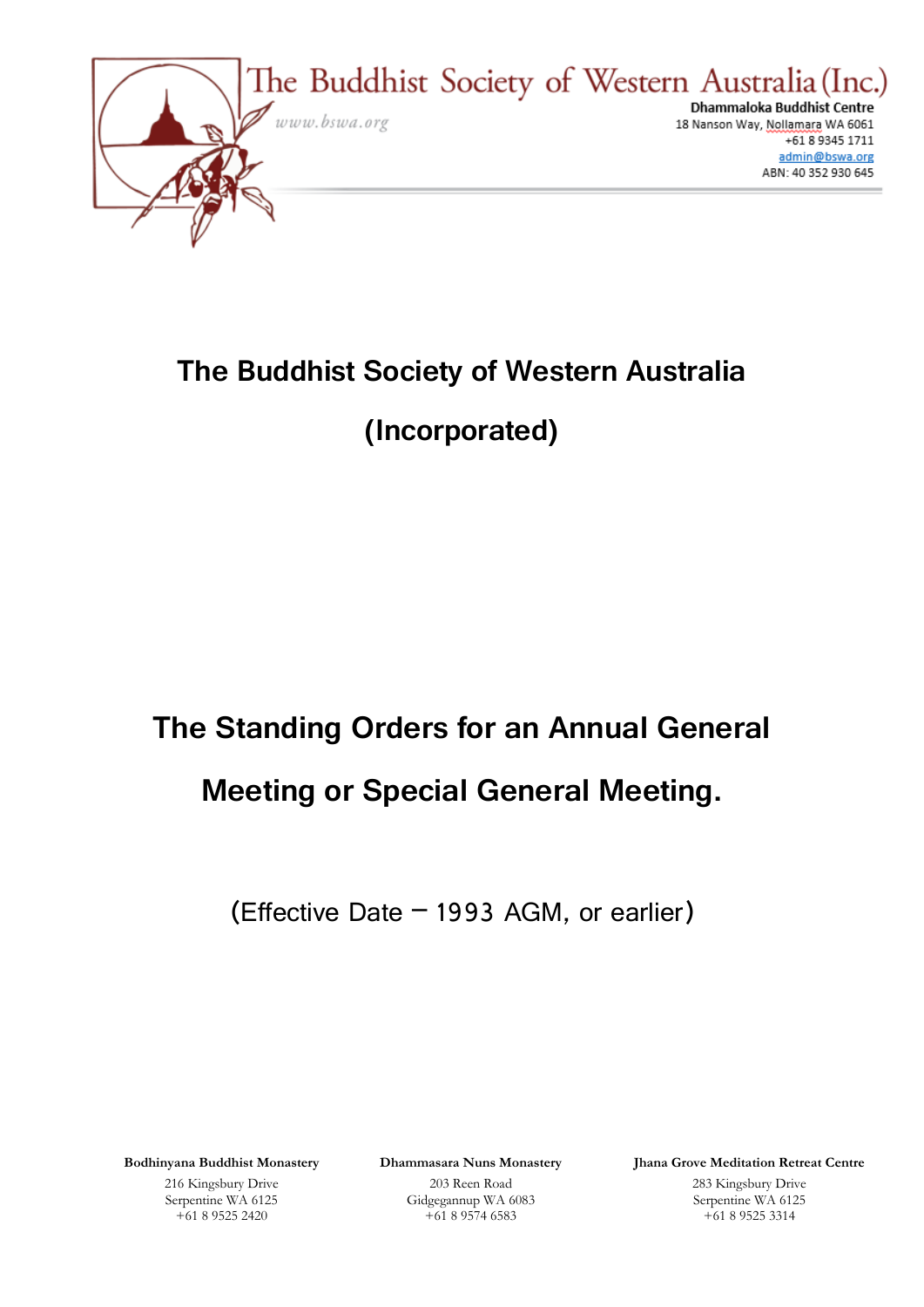

## **The Buddhist Society of Western Australia (Incorporated)**

## **The Standing Orders for an Annual General Meeting or Special General Meeting.**

(Effective Date – 1993 AGM, or earlier)

**Bodhinyana Buddhist Monastery**

216 Kingsbury Drive Serpentine WA 6125 +61 8 9525 2420

**Dhammasara Nuns Monastery**

203 Reen Road Gidgegannup WA 6083 +61 8 9574 6583

**Jhana Grove Meditation Retreat Centre**

283 Kingsbury Drive Serpentine WA 6125 +61 8 9525 3314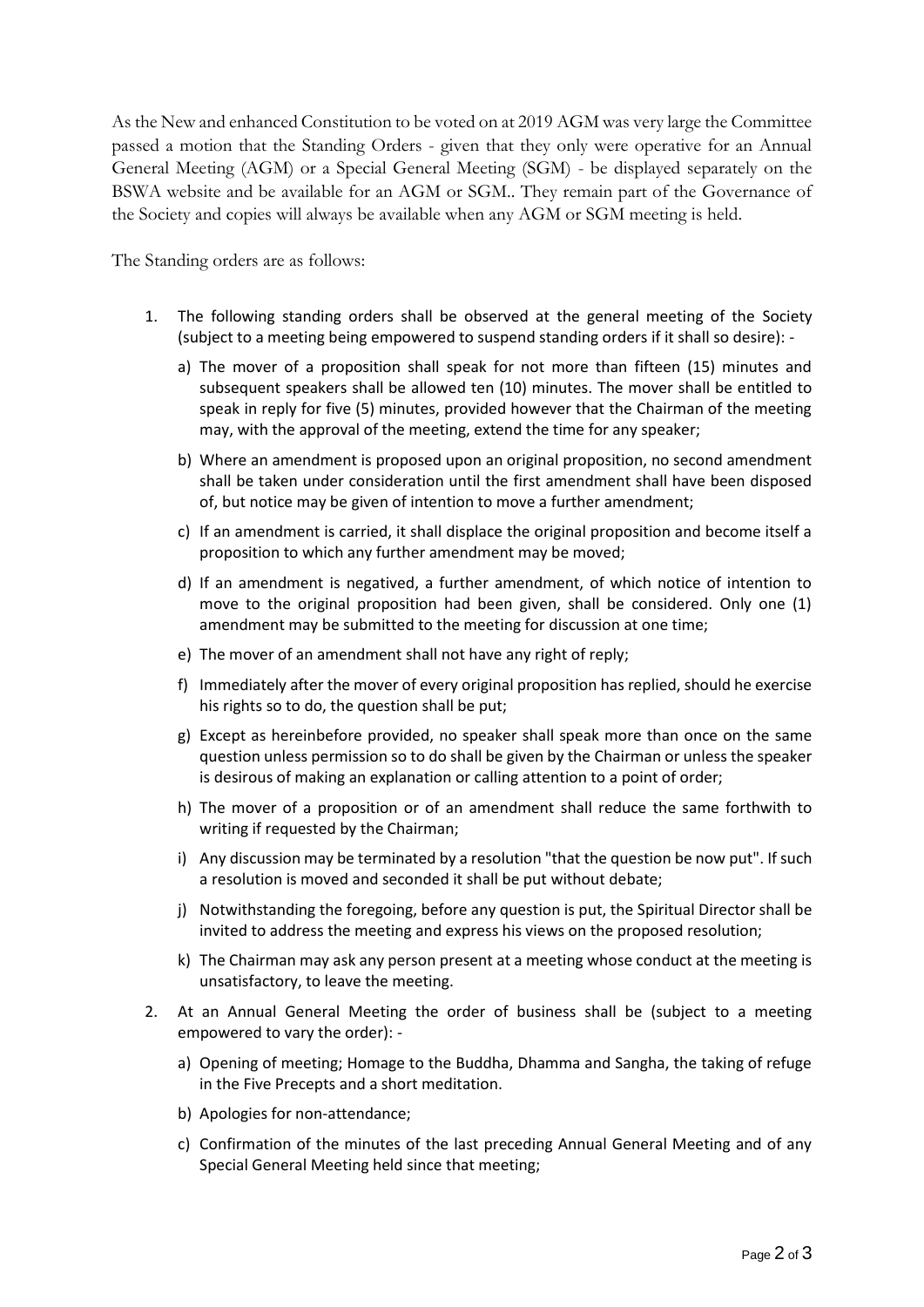As the New and enhanced Constitution to be voted on at 2019 AGM was very large the Committee passed a motion that the Standing Orders - given that they only were operative for an Annual General Meeting (AGM) or a Special General Meeting (SGM) - be displayed separately on the BSWA website and be available for an AGM or SGM.. They remain part of the Governance of the Society and copies will always be available when any AGM or SGM meeting is held.

The Standing orders are as follows:

- 1. The following standing orders shall be observed at the general meeting of the Society (subject to a meeting being empowered to suspend standing orders if it shall so desire):
	- a) The mover of a proposition shall speak for not more than fifteen (15) minutes and subsequent speakers shall be allowed ten (10) minutes. The mover shall be entitled to speak in reply for five (5) minutes, provided however that the Chairman of the meeting may, with the approval of the meeting, extend the time for any speaker;
	- b) Where an amendment is proposed upon an original proposition, no second amendment shall be taken under consideration until the first amendment shall have been disposed of, but notice may be given of intention to move a further amendment;
	- c) If an amendment is carried, it shall displace the original proposition and become itself a proposition to which any further amendment may be moved;
	- d) If an amendment is negatived, a further amendment, of which notice of intention to move to the original proposition had been given, shall be considered. Only one (1) amendment may be submitted to the meeting for discussion at one time;
	- e) The mover of an amendment shall not have any right of reply;
	- f) Immediately after the mover of every original proposition has replied, should he exercise his rights so to do, the question shall be put;
	- g) Except as hereinbefore provided, no speaker shall speak more than once on the same question unless permission so to do shall be given by the Chairman or unless the speaker is desirous of making an explanation or calling attention to a point of order;
	- h) The mover of a proposition or of an amendment shall reduce the same forthwith to writing if requested by the Chairman;
	- i) Any discussion may be terminated by a resolution "that the question be now put". If such a resolution is moved and seconded it shall be put without debate;
	- j) Notwithstanding the foregoing, before any question is put, the Spiritual Director shall be invited to address the meeting and express his views on the proposed resolution;
	- k) The Chairman may ask any person present at a meeting whose conduct at the meeting is unsatisfactory, to leave the meeting.
- 2. At an Annual General Meeting the order of business shall be (subject to a meeting empowered to vary the order):
	- a) Opening of meeting; Homage to the Buddha, Dhamma and Sangha, the taking of refuge in the Five Precepts and a short meditation.
	- b) Apologies for non-attendance;
	- c) Confirmation of the minutes of the last preceding Annual General Meeting and of any Special General Meeting held since that meeting;